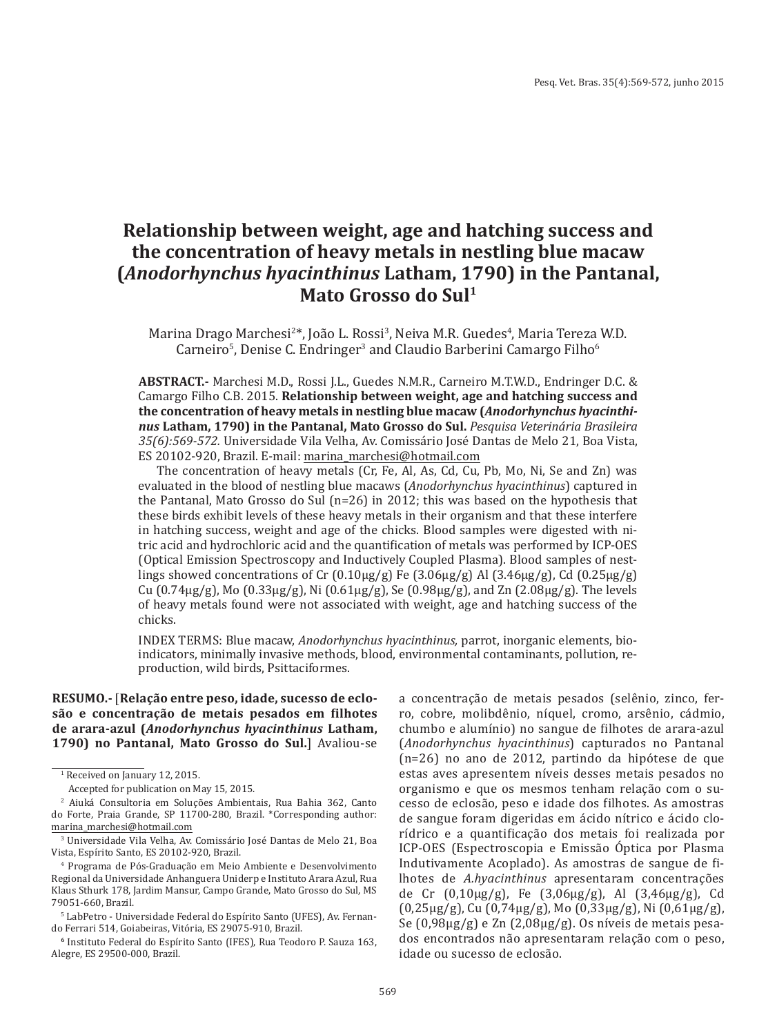# **Relationship between weight, age and hatching success and the concentration of heavy metals in nestling blue macaw (***Anodorhynchus hyacinthinus* **Latham, 1790) in the Pantanal, Mato Grosso do Sul1**

Marina Drago Marchesi<sup>2\*</sup>, João L. Rossi<sup>3</sup>, Neiva M.R. Guedes<sup>4</sup>, Maria Tereza W.D. Carneiro<sup>s</sup>, Denise C. Endringer<sup>s</sup> and Claudio Barberini Camargo Filho<sup>6</sup>

**ABSTRACT.-** Marchesi M.D., Rossi J.L., Guedes N.M.R., Carneiro M.T.W.D., Endringer D.C. & Camargo Filho C.B. 2015. **Relationship between weight, age and hatching success and the concentration of heavy metals in nestling blue macaw (***Anodorhynchus hyacinthinus* **Latham, 1790) in the Pantanal, Mato Grosso do Sul.** *Pesquisa Veterinária Brasileira 35(6):569-572.* Universidade Vila Velha, Av. Comissário José Dantas de Melo 21, Boa Vista, ES 20102-920, Brazil. E-mail: marina\_marchesi@hotmail.com

The concentration of heavy metals (Cr, Fe, Al, As, Cd, Cu, Pb, Mo, Ni, Se and Zn) was evaluated in the blood of nestling blue macaws (*Anodorhynchus hyacinthinus*) captured in the Pantanal, Mato Grosso do Sul (n=26) in 2012; this was based on the hypothesis that these birds exhibit levels of these heavy metals in their organism and that these interfere in hatching success, weight and age of the chicks. Blood samples were digested with nitric acid and hydrochloric acid and the quantification of metals was performed by ICP-OES (Optical Emission Spectroscopy and Inductively Coupled Plasma). Blood samples of nestlings showed concentrations of Cr  $(0.10\mu g/g)$  Fe  $(3.06\mu g/g)$  Al  $(3.46\mu g/g)$ , Cd  $(0.25\mu g/g)$ Cu (0.74μg/g), Mo (0.33μg/g), Ni (0.61μg/g), Se (0.98μg/g), and Zn (2.08μg/g). The levels of heavy metals found were not associated with weight, age and hatching success of the chicks.

INDEX TERMS: Blue macaw, *Anodorhynchus hyacinthinus,* parrot, inorganic elements, bioindicators, minimally invasive methods, blood, environmental contaminants, pollution, reproduction, wild birds, Psittaciformes.

**RESUMO.-** [**Relação entre peso, idade, sucesso de eclosão e concentração de metais pesados em filhotes de arara-azul (***Anodorhynchus hyacinthinus* **Latham, 1790) no Pantanal, Mato Grosso do Sul.**] Avaliou-se

a concentração de metais pesados (selênio, zinco, ferro, cobre, molibdênio, níquel, cromo, arsênio, cádmio, chumbo e alumínio) no sangue de filhotes de arara-azul (*Anodorhynchus hyacinthinus*) capturados no Pantanal (n=26) no ano de 2012, partindo da hipótese de que estas aves apresentem níveis desses metais pesados no organismo e que os mesmos tenham relação com o sucesso de eclosão, peso e idade dos filhotes. As amostras de sangue foram digeridas em ácido nítrico e ácido clorídrico e a quantificação dos metais foi realizada por ICP-OES (Espectroscopia e Emissão Óptica por Plasma Indutivamente Acoplado). As amostras de sangue de filhotes de *A.hyacinthinus* apresentaram concentrações de Cr (0,10μg/g), Fe (3,06μg/g), Al (3,46μg/g), Cd (0,25μg/g), Cu (0,74μg/g), Mo (0,33μg/g), Ni (0,61μg/g), Se (0,98μg/g) e Zn (2,08μg/g). Os níveis de metais pesados encontrados não apresentaram relação com o peso, idade ou sucesso de eclosão.

<sup>1</sup> Received on January 12, 2015.

Accepted for publication on May 15, 2015.

<sup>2</sup> Aiuká Consultoria em Soluções Ambientais, Rua Bahia 362, Canto do Forte, Praia Grande, SP 11700-280, Brazil. \*Corresponding author: marina\_marchesi@hotmail.com

<sup>3</sup> Universidade Vila Velha, Av. Comissário José Dantas de Melo 21, Boa Vista, Espírito Santo, ES 20102-920, Brazil.

<sup>4</sup> Programa de Pós-Graduação em Meio Ambiente e Desenvolvimento Regional da Universidade Anhanguera Uniderp e Instituto Arara Azul, Rua Klaus Sthurk 178, Jardim Mansur, Campo Grande, Mato Grosso do Sul, MS 79051-660, Brazil.

<sup>5</sup> LabPetro - Universidade Federal do Espírito Santo (UFES), Av. Fernando Ferrari 514, Goiabeiras, Vitória, ES 29075-910, Brazil.

**<sup>6</sup>** Instituto Federal do Espírito Santo (IFES), Rua Teodoro P. Sauza 163, Alegre, ES 29500-000, Brazil.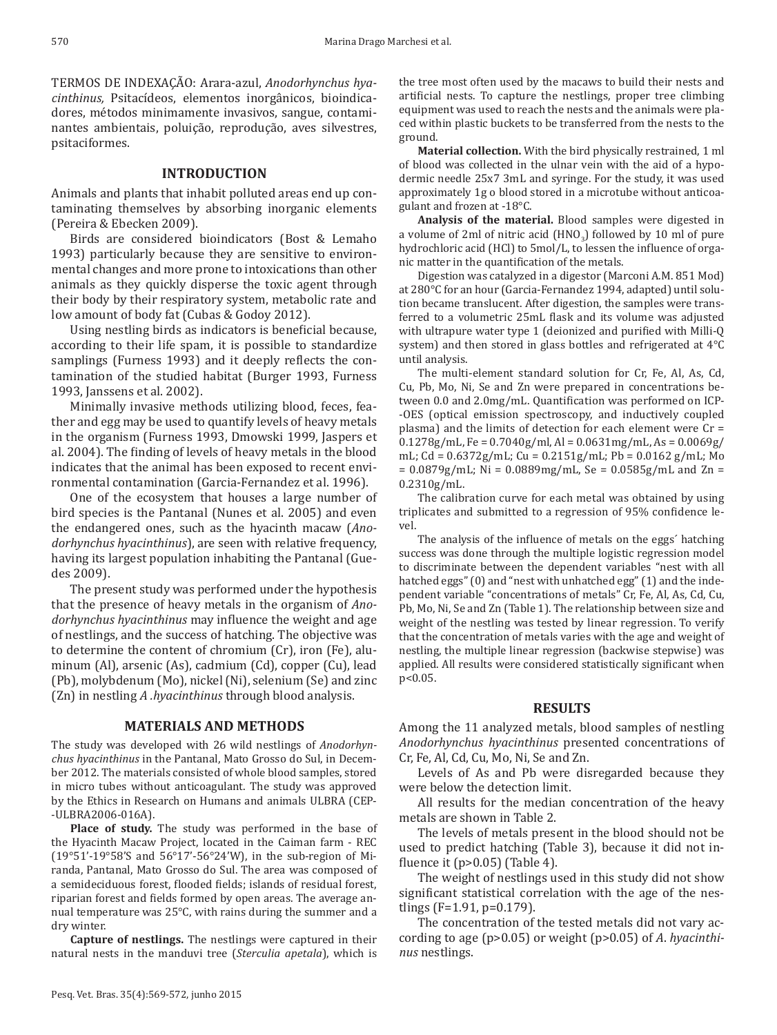TERMOS DE INDEXAÇÃO: Arara-azul, *Anodorhynchus hyacinthinus,* Psitacídeos, elementos inorgânicos, bioindicadores, métodos minimamente invasivos, sangue, contaminantes ambientais, poluição, reprodução, aves silvestres, psitaciformes.

## **INTRODUCTION**

Animals and plants that inhabit polluted areas end up contaminating themselves by absorbing inorganic elements (Pereira & Ebecken 2009).

Birds are considered bioindicators (Bost & Lemaho 1993) particularly because they are sensitive to environmental changes and more prone to intoxications than other animals as they quickly disperse the toxic agent through their body by their respiratory system, metabolic rate and low amount of body fat (Cubas & Godoy 2012).

Using nestling birds as indicators is beneficial because, according to their life spam, it is possible to standardize samplings (Furness 1993) and it deeply reflects the contamination of the studied habitat (Burger 1993, Furness 1993, Janssens et al. 2002).

Minimally invasive methods utilizing blood, feces, feather and egg may be used to quantify levels of heavy metals in the organism (Furness 1993, Dmowski 1999, Jaspers et al. 2004). The finding of levels of heavy metals in the blood indicates that the animal has been exposed to recent environmental contamination (Garcia-Fernandez et al. 1996).

One of the ecosystem that houses a large number of bird species is the Pantanal (Nunes et al. 2005) and even the endangered ones, such as the hyacinth macaw (*Anodorhynchus hyacinthinus*), are seen with relative frequency, having its largest population inhabiting the Pantanal (Guedes 2009).

The present study was performed under the hypothesis that the presence of heavy metals in the organism of *Anodorhynchus hyacinthinus* may influence the weight and age of nestlings, and the success of hatching. The objective was to determine the content of chromium (Cr), iron (Fe), aluminum (Al), arsenic (As), cadmium (Cd), copper (Cu), lead (Pb), molybdenum (Mo), nickel (Ni), selenium (Se) and zinc (Zn) in nestling *A .hyacinthinus* through blood analysis.

## **MATERIALS AND METHODS**

The study was developed with 26 wild nestlings of *Anodorhynchus hyacinthinus* in the Pantanal, Mato Grosso do Sul, in December 2012. The materials consisted of whole blood samples, stored in micro tubes without anticoagulant. The study was approved by the Ethics in Research on Humans and animals ULBRA (CEP- -ULBRA2006-016A).

**Place of study.** The study was performed in the base of the Hyacinth Macaw Project, located in the Caiman farm - REC (19°51'-19°58'S and 56°17'-56°24'W), in the sub-region of Miranda, Pantanal, Mato Grosso do Sul. The area was composed of a semideciduous forest, flooded fields; islands of residual forest, riparian forest and fields formed by open areas. The average annual temperature was 25°C, with rains during the summer and a dry winter.

**Capture of nestlings.** The nestlings were captured in their natural nests in the manduvi tree (*Sterculia apetala*), which is the tree most often used by the macaws to build their nests and artificial nests. To capture the nestlings, proper tree climbing equipment was used to reach the nests and the animals were placed within plastic buckets to be transferred from the nests to the ground.

**Material collection.** With the bird physically restrained, 1 ml of blood was collected in the ulnar vein with the aid of a hypodermic needle 25x7 3mL and syringe. For the study, it was used approximately 1g o blood stored in a microtube without anticoagulant and frozen at -18°C.

**Analysis of the material.** Blood samples were digested in a volume of  $2ml$  of nitric acid  $(HNO<sub>3</sub>)$  followed by 10 ml of pure hydrochloric acid (HCl) to 5mol/L, to lessen the influence of organic matter in the quantification of the metals.

Digestion was catalyzed in a digestor (Marconi A.M. 851 Mod) at 280°C for an hour (Garcia-Fernandez 1994, adapted) until solution became translucent. After digestion, the samples were transferred to a volumetric 25mL flask and its volume was adjusted with ultrapure water type 1 (deionized and purified with Milli-Q system) and then stored in glass bottles and refrigerated at 4°C until analysis.

The multi-element standard solution for Cr, Fe, Al, As, Cd, Cu, Pb, Mo, Ni, Se and Zn were prepared in concentrations between 0.0 and 2.0mg/mL. Quantification was performed on ICP- -OES (optical emission spectroscopy, and inductively coupled plasma) and the limits of detection for each element were Cr = 0.1278g/mL, Fe = 0.7040g/ml, Al = 0.0631mg/mL, As = 0.0069g/ mL; Cd = 0.6372g/mL; Cu = 0.2151g/mL; Pb = 0.0162 g/mL; Mo  $= 0.0879g/mL$ ; Ni = 0.0889mg/mL, Se = 0.0585g/mL and Zn = 0.2310g/mL.

The calibration curve for each metal was obtained by using triplicates and submitted to a regression of 95% confidence level.

The analysis of the influence of metals on the eggs´ hatching success was done through the multiple logistic regression model to discriminate between the dependent variables "nest with all hatched eggs" (0) and "nest with unhatched egg" (1) and the independent variable "concentrations of metals" Cr, Fe, Al, As, Cd, Cu, Pb, Mo, Ni, Se and Zn (Table 1). The relationship between size and weight of the nestling was tested by linear regression. To verify that the concentration of metals varies with the age and weight of nestling, the multiple linear regression (backwise stepwise) was applied. All results were considered statistically significant when  $p<0.05$ .

### **RESULTS**

Among the 11 analyzed metals, blood samples of nestling *Anodorhynchus hyacinthinus* presented concentrations of Cr, Fe, Al, Cd, Cu, Mo, Ni, Se and Zn.

Levels of As and Pb were disregarded because they were below the detection limit.

All results for the median concentration of the heavy metals are shown in Table 2.

The levels of metals present in the blood should not be used to predict hatching (Table 3), because it did not influence it  $(p>0.05)$  (Table 4).

The weight of nestlings used in this study did not show significant statistical correlation with the age of the nestlings (F=1.91, p=0.179).

The concentration of the tested metals did not vary according to age (p>0.05) or weight (p>0.05) of *A*. *hyacinthinus* nestlings.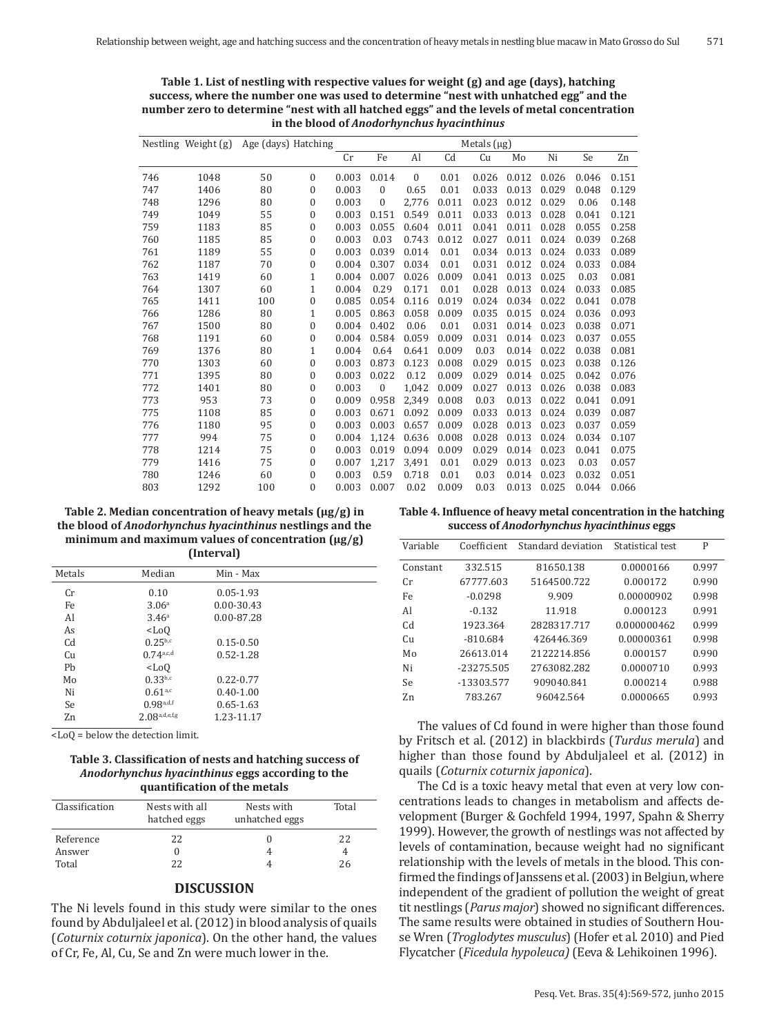| in the blood of <i>Anodorhynchus hyacinthinus</i> |                     |                     |              |             |                  |              |       |       |       |       |       |       |
|---------------------------------------------------|---------------------|---------------------|--------------|-------------|------------------|--------------|-------|-------|-------|-------|-------|-------|
|                                                   | Nestling Weight (g) | Age (days) Hatching |              | Metals (µg) |                  |              |       |       |       |       |       |       |
|                                                   |                     |                     |              | Cr          | Fe               | Al           | Cd    | Cu    | Mo    | Ni    | Se    | Zn    |
| 746                                               | 1048                | 50                  | $\mathbf{0}$ | 0.003       | 0.014            | $\mathbf{0}$ | 0.01  | 0.026 | 0.012 | 0.026 | 0.046 | 0.151 |
| 747                                               | 1406                | 80                  | $\bf{0}$     | 0.003       | $\boldsymbol{0}$ | 0.65         | 0.01  | 0.033 | 0.013 | 0.029 | 0.048 | 0.129 |
| 748                                               | 1296                | 80                  | 0            | 0.003       | $\mathbf{0}$     | 2,776        | 0.011 | 0.023 | 0.012 | 0.029 | 0.06  | 0.148 |
| 749                                               | 1049                | 55                  | 0            | 0.003       | 0.151            | 0.549        | 0.011 | 0.033 | 0.013 | 0.028 | 0.041 | 0.121 |
| 759                                               | 1183                | 85                  | 0            | 0.003       | 0.055            | 0.604        | 0.011 | 0.041 | 0.011 | 0.028 | 0.055 | 0.258 |
| 760                                               | 1185                | 85                  | 0            | 0.003       | 0.03             | 0.743        | 0.012 | 0.027 | 0.011 | 0.024 | 0.039 | 0.268 |
| 761                                               | 1189                | 55                  | 0            | 0.003       | 0.039            | 0.014        | 0.01  | 0.034 | 0.013 | 0.024 | 0.033 | 0.089 |
| 762                                               | 1187                | 70                  | $\bf{0}$     | 0.004       | 0.307            | 0.034        | 0.01  | 0.031 | 0.012 | 0.024 | 0.033 | 0.084 |
| 763                                               | 1419                | 60                  | 1            | 0.004       | 0.007            | 0.026        | 0.009 | 0.041 | 0.013 | 0.025 | 0.03  | 0.081 |
| 764                                               | 1307                | 60                  | 1            | 0.004       | 0.29             | 0.171        | 0.01  | 0.028 | 0.013 | 0.024 | 0.033 | 0.085 |
| 765                                               | 1411                | 100                 | 0            | 0.085       | 0.054            | 0.116        | 0.019 | 0.024 | 0.034 | 0.022 | 0.041 | 0.078 |
| 766                                               | 1286                | 80                  | $\mathbf 1$  | 0.005       | 0.863            | 0.058        | 0.009 | 0.035 | 0.015 | 0.024 | 0.036 | 0.093 |
| 767                                               | 1500                | 80                  | 0            | 0.004       | 0.402            | 0.06         | 0.01  | 0.031 | 0.014 | 0.023 | 0.038 | 0.071 |
| 768                                               | 1191                | 60                  | 0            | 0.004       | 0.584            | 0.059        | 0.009 | 0.031 | 0.014 | 0.023 | 0.037 | 0.055 |
| 769                                               | 1376                | 80                  | 1            | 0.004       | 0.64             | 0.641        | 0.009 | 0.03  | 0.014 | 0.022 | 0.038 | 0.081 |
| 770                                               | 1303                | 60                  | 0            | 0.003       | 0.873            | 0.123        | 0.008 | 0.029 | 0.015 | 0.023 | 0.038 | 0.126 |
| 771                                               | 1395                | 80                  | 0            | 0.003       | 0.022            | 0.12         | 0.009 | 0.029 | 0.014 | 0.025 | 0.042 | 0.076 |
| 772                                               | 1401                | 80                  | 0            | 0.003       | 0                | 1.042        | 0.009 | 0.027 | 0.013 | 0.026 | 0.038 | 0.083 |
| 773                                               | 953                 | 73                  | 0            | 0.009       | 0.958            | 2.349        | 0.008 | 0.03  | 0.013 | 0.022 | 0.041 | 0.091 |
| 775                                               | 1108                | 85                  | 0            | 0.003       | 0.671            | 0.092        | 0.009 | 0.033 | 0.013 | 0.024 | 0.039 | 0.087 |
| 776                                               | 1180                | 95                  | 0            | 0.003       | 0.003            | 0.657        | 0.009 | 0.028 | 0.013 | 0.023 | 0.037 | 0.059 |
| 777                                               | 994                 | 75                  | $\bf{0}$     | 0.004       | 1.124            | 0.636        | 0.008 | 0.028 | 0.013 | 0.024 | 0.034 | 0.107 |
| 778                                               | 1214                | 75                  | 0            | 0.003       | 0.019            | 0.094        | 0.009 | 0.029 | 0.014 | 0.023 | 0.041 | 0.075 |
| 779                                               | 1416                | 75                  | 0            | 0.007       | 1,217            | 3,491        | 0.01  | 0.029 | 0.013 | 0.023 | 0.03  | 0.057 |
| 780                                               | 1246                | 60                  | $\mathbf{0}$ | 0.003       | 0.59             | 0.718        | 0.01  | 0.03  | 0.014 | 0.023 | 0.032 | 0.051 |
| 803                                               | 1292                | 100                 | $\Omega$     | 0.003       | 0.007            | 0.02         | 0.009 | 0.03  | 0.013 | 0.025 | 0.044 | 0.066 |

**Table 1. List of nestling with respective values for weight (g) and age (days), hatching success, where the number one was used to determine "nest with unhatched egg" and the number zero to determine "nest with all hatched eggs" and the levels of metal concentration in the blood of** *Anodorhynchus hyacinthinus*

**Table 2. Median concentration of heavy metals (µg/g) in the blood of** *Anodorhynchus hyacinthinus* **nestlings and the minimum and maximum values of concentration (µg/g) (Interval)**

| Metals         | Median             | Min - Max     |  |
|----------------|--------------------|---------------|--|
| Cr             | 0.10               | $0.05 - 1.93$ |  |
| Fe.            | 3.06 <sup>a</sup>  | 0.00-30.43    |  |
| Al             | 3.46 <sup>a</sup>  | 0.00-87.28    |  |
| As             | $<$ Lo $<$         |               |  |
| C <sub>d</sub> | $0.25^{b,c}$       | $0.15 - 0.50$ |  |
| Cu             | 0.74a, c,d         | $0.52 - 1.28$ |  |
| Ph             | $<$ Lo $<$         |               |  |
| Mo             | $0.33^{b,c}$       | $0.22 - 0.77$ |  |
| Ni             | 0.61a,c            | $0.40 - 1.00$ |  |
| Se             | 0.98a,d,f          | $0.65 - 1.63$ |  |
| Zn             | $2.08^{a,d,e,f,g}$ | 1.23-11.17    |  |
|                |                    |               |  |

<LoQ = below the detection limit.

**Table 3. Classification of nests and hatching success of**  *Anodorhynchus hyacinthinus* **eggs according to the quantification of the metals**

| Nests with all | Nests with         | Total          |
|----------------|--------------------|----------------|
|                |                    |                |
|                |                    |                |
|                |                    |                |
|                |                    | 22             |
|                |                    |                |
| つつ             |                    | 26             |
|                | hatched eggs<br>22 | unhatched eggs |

#### **DISCUSSION**

The Ni levels found in this study were similar to the ones found by Abduljaleel et al. (2012) in blood analysis of quails (*Coturnix coturnix japonica*). On the other hand, the values of Cr, Fe, Al, Cu, Se and Zn were much lower in the.

**Table 4. Influence of heavy metal concentration in the hatching success of** *Anodorhynchus hyacinthinus* **eggs**

| Variable       | Coefficient  | Standard deviation | Statistical test | P     |
|----------------|--------------|--------------------|------------------|-------|
| Constant       | 332.515      | 81650.138          | 0.0000166        | 0.997 |
| Cr.            | 67777.603    | 5164500.722        | 0.000172         | 0.990 |
| Fe             | $-0.0298$    | 9.909              | 0.00000902       | 0.998 |
| Al             | $-0.132$     | 11.918             | 0.000123         | 0.991 |
| Cd             | 1923.364     | 2828317.717        | 0.000000462      | 0.999 |
| Cи             | $-810.684$   | 426446.369         | 0.00000361       | 0.998 |
| Mo             | 26613.014    | 2122214.856        | 0.000157         | 0.990 |
| Ni             | $-23275.505$ | 2763082.282        | 0.0000710        | 0.993 |
| Se.            | -13303.577   | 909040.841         | 0.000214         | 0.988 |
| Z <sub>n</sub> | 783.267      | 96042.564          | 0.0000665        | 0.993 |

The values of Cd found in were higher than those found by Fritsch et al. (2012) in blackbirds (*Turdus merula*) and higher than those found by Abduljaleel et al. (2012) in quails (*Coturnix coturnix japonica*).

The Cd is a toxic heavy metal that even at very low concentrations leads to changes in metabolism and affects development (Burger & Gochfeld 1994, 1997, Spahn & Sherry 1999). However, the growth of nestlings was not affected by levels of contamination, because weight had no significant relationship with the levels of metals in the blood. This confirmed the findings of Janssens et al. (2003) in Belgiun, where independent of the gradient of pollution the weight of great tit nestlings (*Parus major*) showed no significant differences. The same results were obtained in studies of Southern House Wren (*Troglodytes musculus*) (Hofer et al. 2010) and Pied Flycatcher (*Ficedula hypoleuca)* (Eeva & Lehikoinen 1996).